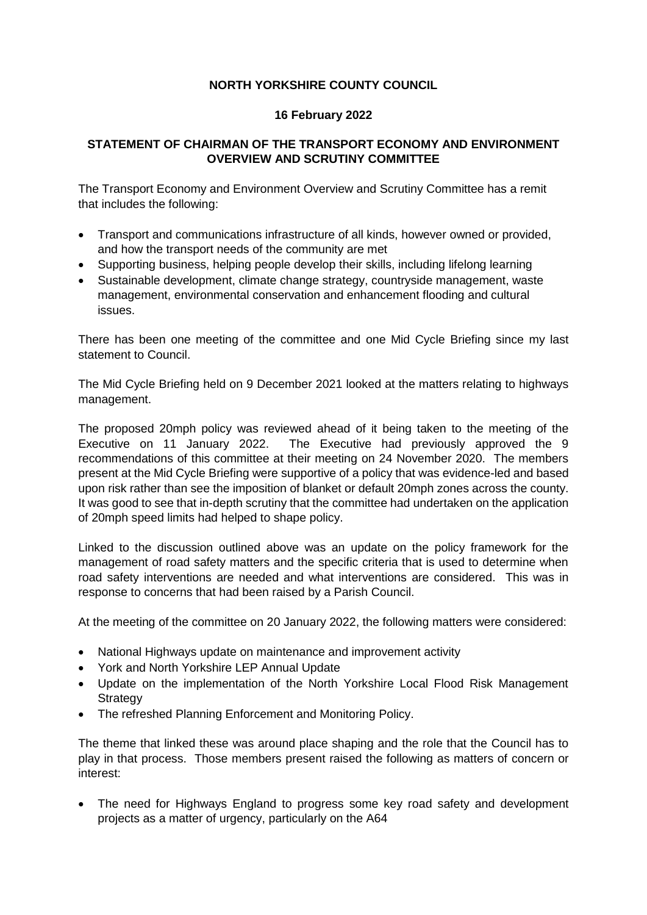## **NORTH YORKSHIRE COUNTY COUNCIL**

## **16 February 2022**

## **STATEMENT OF CHAIRMAN OF THE TRANSPORT ECONOMY AND ENVIRONMENT OVERVIEW AND SCRUTINY COMMITTEE**

The Transport Economy and Environment Overview and Scrutiny Committee has a remit that includes the following:

- Transport and communications infrastructure of all kinds, however owned or provided, and how the transport needs of the community are met
- Supporting business, helping people develop their skills, including lifelong learning
- Sustainable development, climate change strategy, countryside management, waste management, environmental conservation and enhancement flooding and cultural issues.

There has been one meeting of the committee and one Mid Cycle Briefing since my last statement to Council.

The Mid Cycle Briefing held on 9 December 2021 looked at the matters relating to highways management.

The proposed 20mph policy was reviewed ahead of it being taken to the meeting of the Executive on 11 January 2022. The Executive had previously approved the 9 recommendations of this committee at their meeting on 24 November 2020. The members present at the Mid Cycle Briefing were supportive of a policy that was evidence-led and based upon risk rather than see the imposition of blanket or default 20mph zones across the county. It was good to see that in-depth scrutiny that the committee had undertaken on the application of 20mph speed limits had helped to shape policy.

Linked to the discussion outlined above was an update on the policy framework for the management of road safety matters and the specific criteria that is used to determine when road safety interventions are needed and what interventions are considered. This was in response to concerns that had been raised by a Parish Council.

At the meeting of the committee on 20 January 2022, the following matters were considered:

- National Highways update on maintenance and improvement activity
- York and North Yorkshire LEP Annual Update
- Update on the implementation of the North Yorkshire Local Flood Risk Management **Strategy**
- The refreshed Planning Enforcement and Monitoring Policy.

The theme that linked these was around place shaping and the role that the Council has to play in that process. Those members present raised the following as matters of concern or interest:

• The need for Highways England to progress some key road safety and development projects as a matter of urgency, particularly on the A64